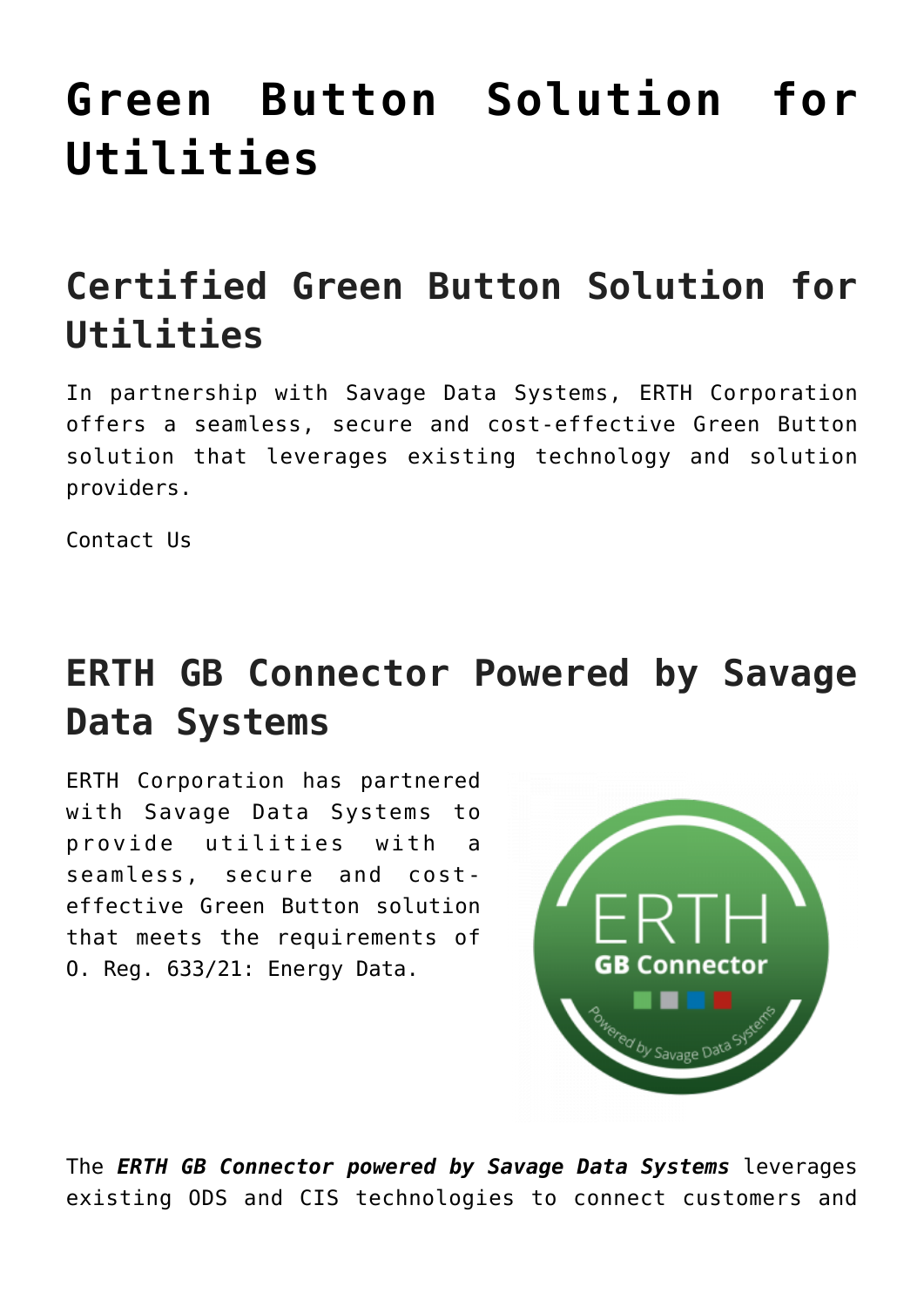# **[Green Button Solution for](https://www.erthcorp.com/greenbutton/) [Utilities](https://www.erthcorp.com/greenbutton/)**

## **Certified Green Button Solution for Utilities**

In partnership with Savage Data Systems, ERTH Corporation offers a seamless, secure and cost-effective Green Button solution that leverages existing technology and solution providers.

[Contact Us](mailto:sales@erthcorp.com?Subject=Green%20Button%20Solution)

## **ERTH GB Connector Powered by Savage Data Systems**

ERTH Corporation has partnered with [Savage Data Systems](http://www.savagedata.com/) to provide utilities with a seamless, secure and costeffective Green Button solution that meets the requirements of [O. Reg. 633/21: Energy Data.](https://www.ontario.ca/laws/regulation/r21633)



The *ERTH GB Connector powered by Savage Data Systems* leverages existing ODS and CIS technologies to connect customers and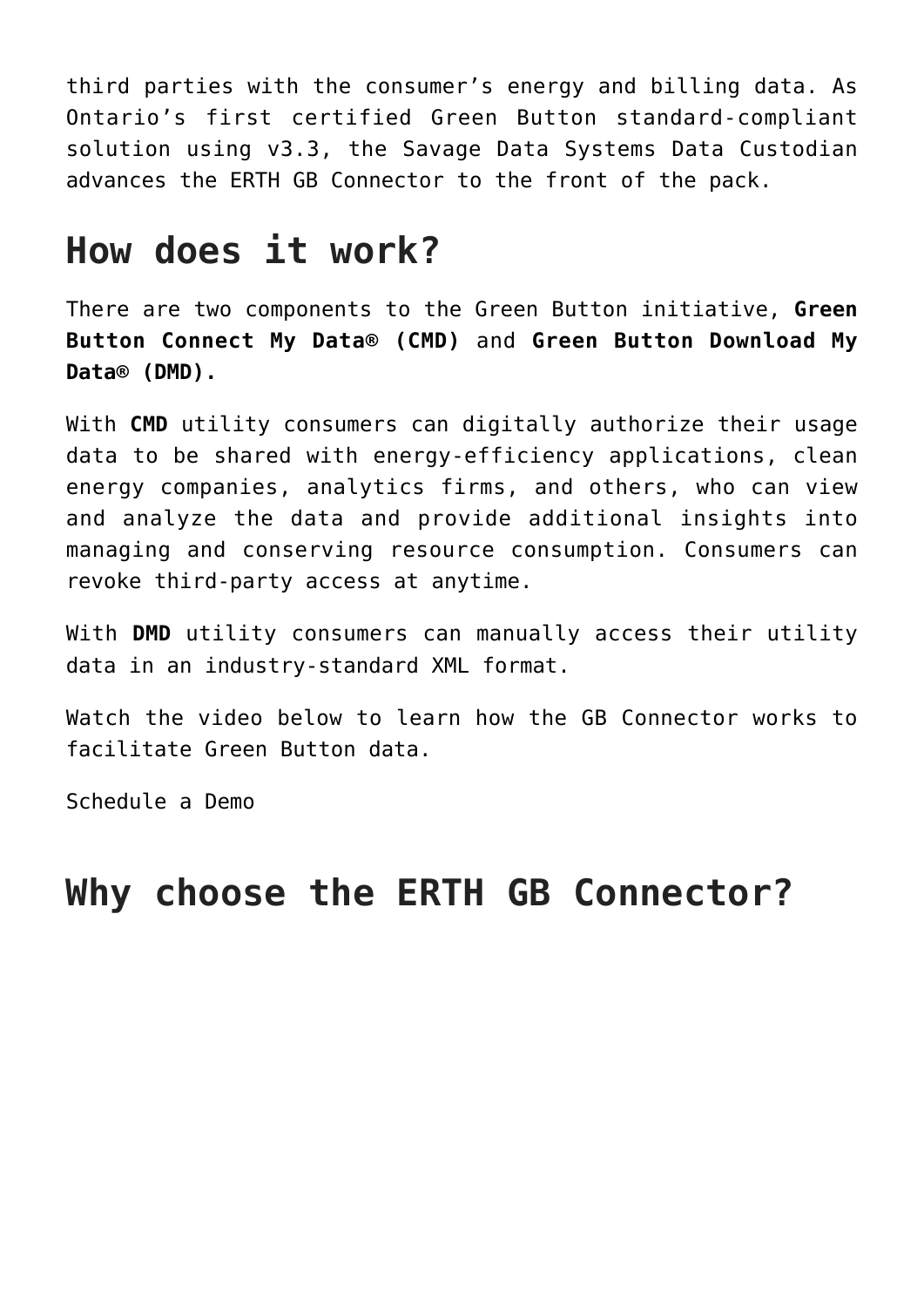third parties with the consumer's energy and billing data. As Ontario's first certified Green Button standard-compliant solution using v3.3, the Savage Data Systems Data Custodian advances the ERTH GB Connector to the front of the pack.

## **How does it work?**

There are two components to the Green Button initiative, **Green Button Connect My Data® (CMD)** and **Green Button Download My Data® (DMD).**

With **CMD** utility consumers can digitally authorize their usage data to be shared with energy-efficiency applications, clean energy companies, analytics firms, and others, who can view and analyze the data and provide additional insights into managing and conserving resource consumption. Consumers can revoke third-party access at anytime.

With **DMD** utility consumers can manually access their utility data in an industry-standard XML format.

Watch the video below to learn how the GB Connector works to facilitate Green Button data.

[Schedule a Demo](https://calendly.com/todd-ross-erth)

## **Why choose the ERTH GB Connector?**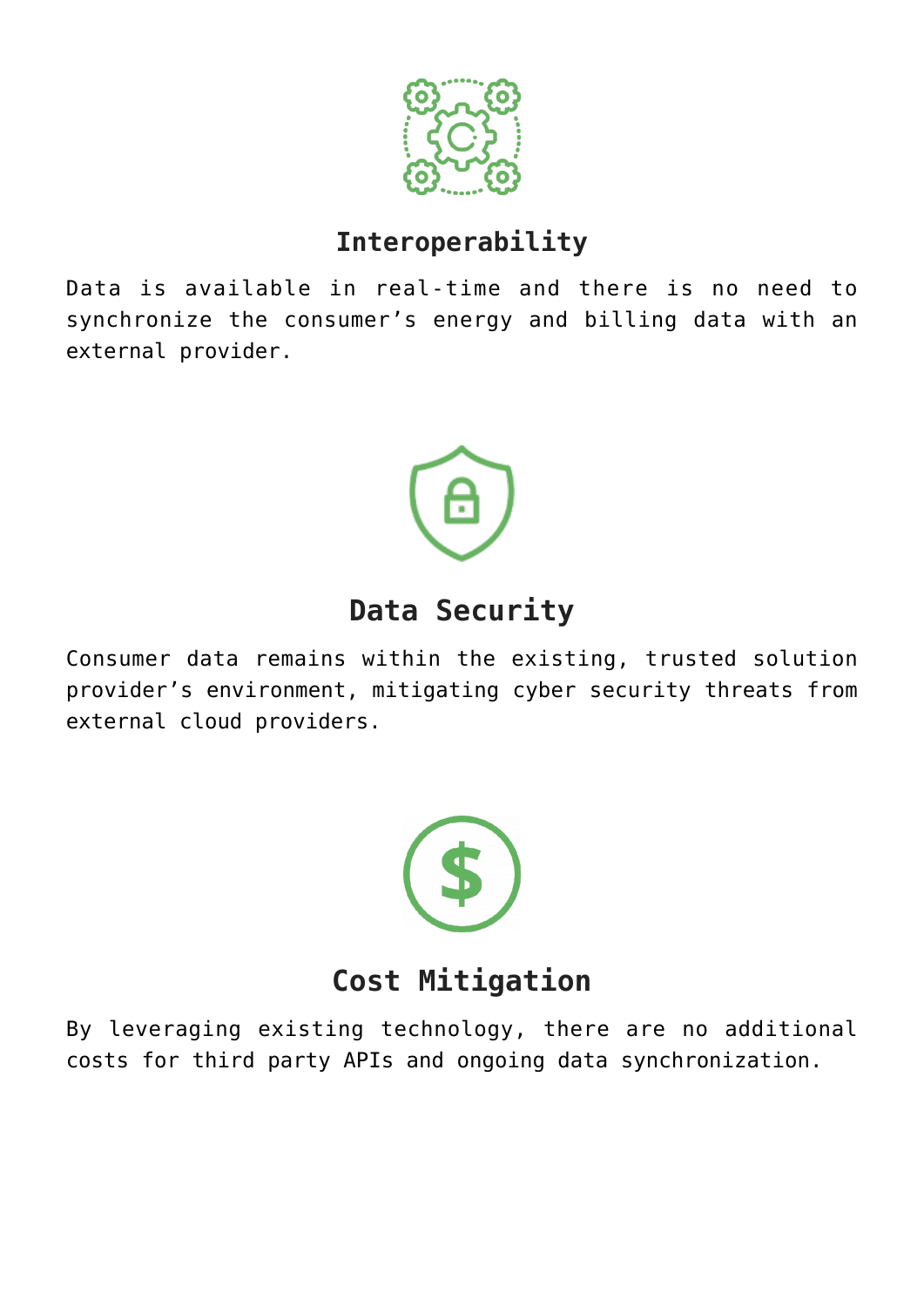

#### **Interoperability**

Data is available in real-time and there is no need to synchronize the consumer's energy and billing data with an external provider.



### **Data Security**

Consumer data remains within the existing, trusted solution provider's environment, mitigating cyber security threats from external cloud providers.



### **Cost Mitigation**

By leveraging existing technology, there are no additional costs for third party APIs and ongoing data synchronization.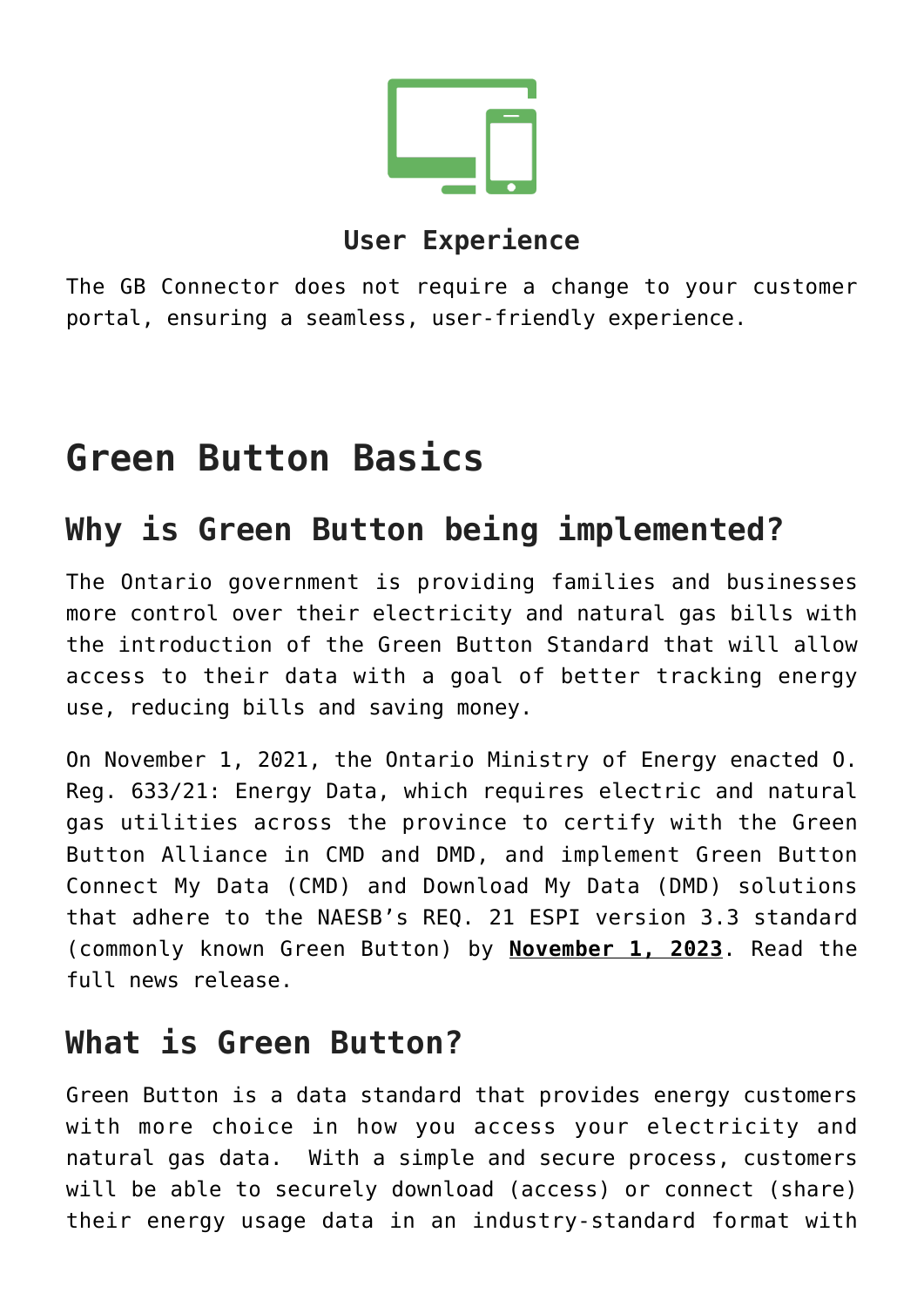

#### **User Experience**

The GB Connector does not require a change to your customer portal, ensuring a seamless, user-friendly experience.

## **Green Button Basics**

### **Why is Green Button being implemented?**

The Ontario government is providing families and businesses more control over their electricity and natural gas bills with the introduction of the Green Button Standard that will allow access to their data with a goal of better tracking energy use, reducing bills and saving money.

On November 1, 2021, the Ontario Ministry of Energy enacted [O.](https://www.ontario.ca/laws/regulation/r21633) [Reg. 633/21: Energy Data](https://www.ontario.ca/laws/regulation/r21633), which requires electric and natural gas utilities across the province to certify with the [Green](https://www.greenbuttonalliance.org/) [Button Alliance](https://www.greenbuttonalliance.org/) in CMD and DMD, and implement Green Button Connect My Data (CMD) and Download My Data (DMD) solutions that adhere to the NAESB's REQ. 21 ESPI version 3.3 standard (commonly known Green Button) by **November 1, 2023**. Read the [full news release.](https://news.ontario.ca/en/release/1001086/ontario-helping-energy-customers-save-money-with-green-button)

### **What is Green Button?**

Green Button is a data standard that provides energy customers with more choice in how you access your electricity and natural gas data. With a simple and secure process, customers will be able to securely download (access) or connect (share) their energy usage data in an industry-standard format with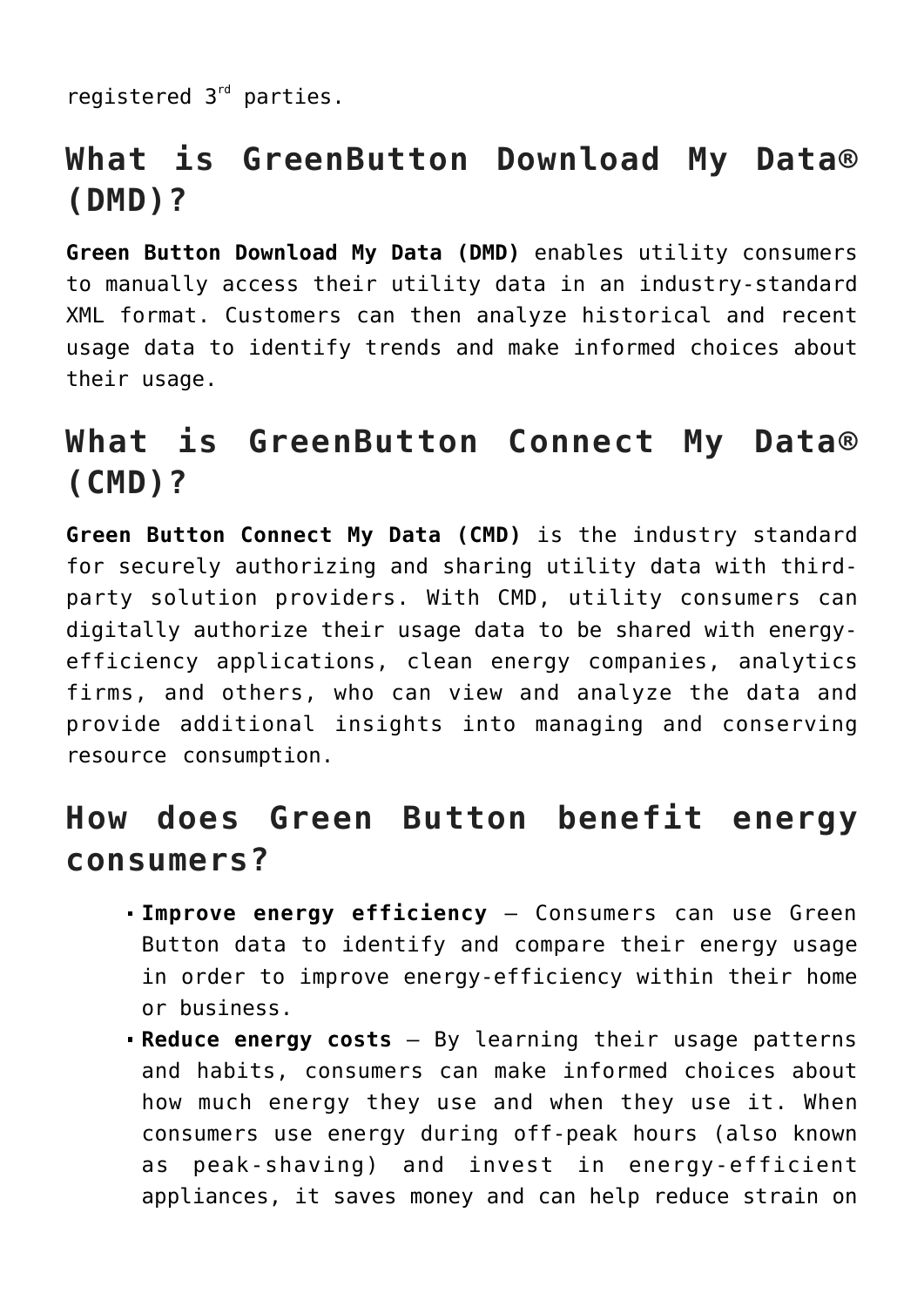registered 3<sup>rd</sup> parties.

### **What is GreenButton Download My Data® (DMD)?**

**Green Button Download My Data (DMD)** enables utility consumers to manually access their utility data in an industry-standard XML format. Customers can then analyze historical and recent usage data to identify trends and make informed choices about their usage.

### **What is GreenButton Connect My Data® (CMD)?**

**Green Button Connect My Data (CMD)** is the industry standard for securely authorizing and sharing utility data with thirdparty solution providers. With CMD, utility consumers can digitally authorize their usage data to be shared with energyefficiency applications, clean energy companies, analytics firms, and others, who can view and analyze the data and provide additional insights into managing and conserving resource consumption.

### **How does Green Button benefit energy consumers?**

- **Improve energy efficiency** Consumers can use Green Button data to identify and compare their energy usage in order to improve energy-efficiency within their home or business.
- **Reduce energy costs** By learning their usage patterns and habits, consumers can make informed choices about how much energy they use and when they use it. When consumers use energy during off-peak hours (also known as peak-shaving) and invest in energy-efficient appliances, it saves money and can help reduce strain on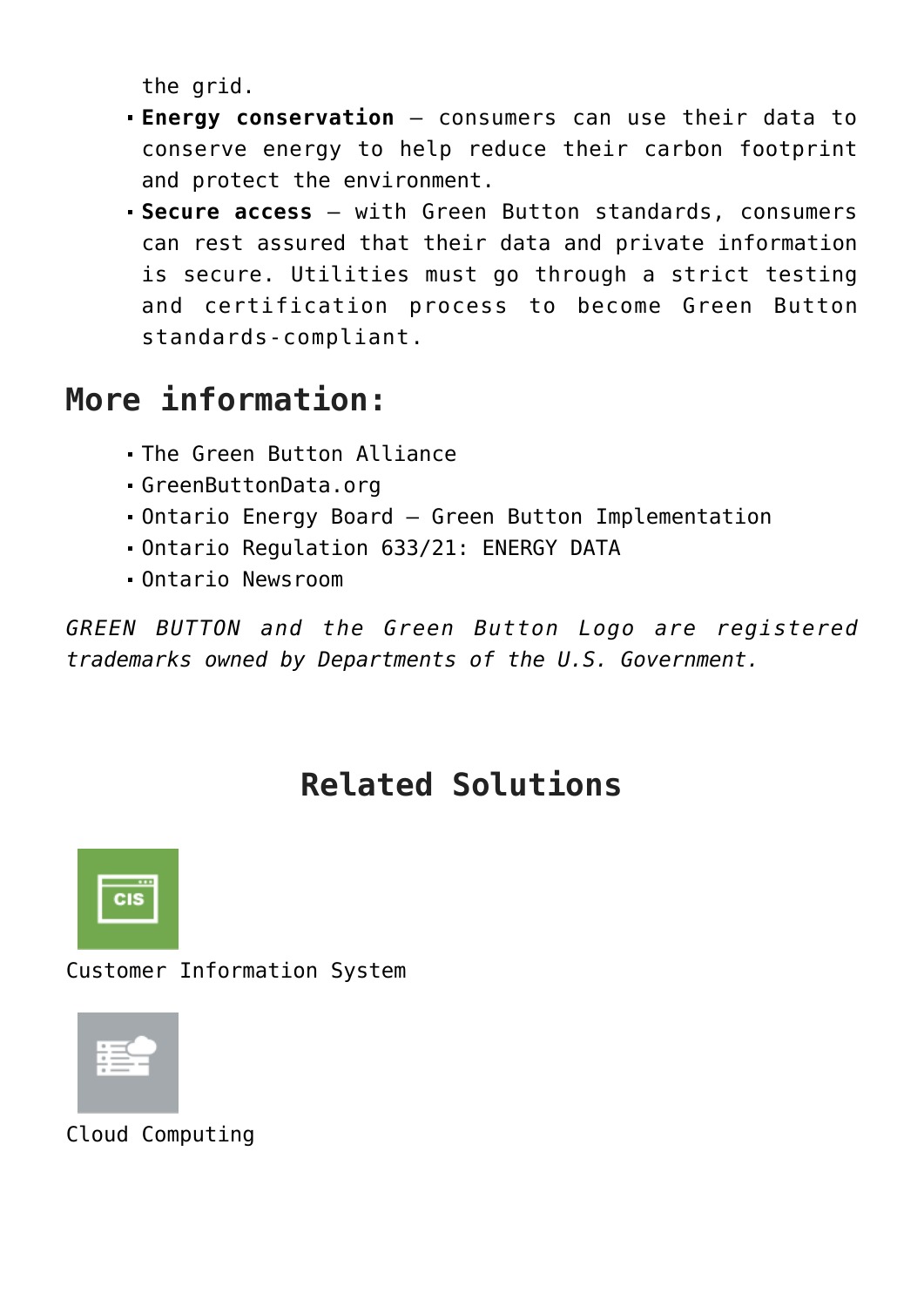the grid.

- **Energy conservation** consumers can use their data to conserve energy to help reduce their carbon footprint and protect the environment.
- **Secure access**  with Green Button standards, consumers can rest assured that their data and private information is secure. Utilities must go through a strict testing and certification process to become Green Button standards-compliant.

### **More information:**

- [The Green Button Alliance](https://www.greenbuttonalliance.org/about#why)
- [GreenButtonData.org](https://www.greenbuttondata.org/)
- [Ontario Energy Board Green Button Implementation](https://www.oeb.ca/consultations-and-projects/policy-initiatives-and-consultations/green-button-implementation)
- [Ontario Regulation 633/21: ENERGY DATA](https://www.ontario.ca/laws/regulation/r21633)
- [Ontario Newsroom](https://news.ontario.ca/en/release/1001086/ontario-helping-energy-customers-save-money-with-green-button)

*GREEN BUTTON and the Green Button Logo are registered trademarks owned by Departments of the U.S. Government.*

## **Related Solutions**



Customer Information System



Cloud Computing